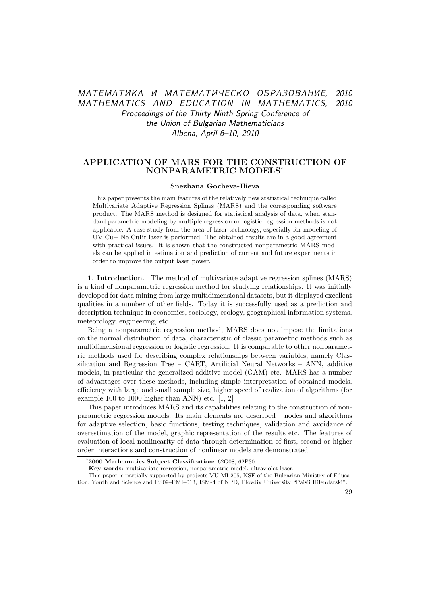# МАТЕМАТИКА И МАТЕМАТИЧЕСКО ОБРАЗОВАНИЕ, 2010 MATHEMATICS AND EDUCATION IN MATHEMATICS, 2010 Proceedings of the Thirty Ninth Spring Conference of the Union of Bulgarian Mathematicians Albena, April 6–10, 2010

## APPLICATION OF MARS FOR THE CONSTRUCTION OF NONPARAMETRIC MODELS\*

#### Snezhana Gocheva-Ilieva

This paper presents the main features of the relatively new statistical technique called Multivariate Adaptive Regression Splines (MARS) and the corresponding software product. The MARS method is designed for statistical analysis of data, when standard parametric modeling by multiple regression or logistic regression methods is not applicable. A case study from the area of laser technology, especially for modeling of UV Cu+ Ne-CuBr laser is performed. The obtained results are in a good agreement with practical issues. It is shown that the constructed nonparametric MARS models can be applied in estimation and prediction of current and future experiments in order to improve the output laser power.

1. Introduction. The method of multivariate adaptive regression splines (MARS) is a kind of nonparametric regression method for studying relationships. It was initially developed for data mining from large multidimensional datasets, but it displayed excellent qualities in a number of other fields. Today it is successfully used as a prediction and description technique in economics, sociology, ecology, geographical information systems, meteorology, engineering, etc.

Being a nonparametric regression method, MARS does not impose the limitations on the normal distribution of data, characteristic of classic parametric methods such as multidimensional regression or logistic regression. It is comparable to other nonparametric methods used for describing complex relationships between variables, namely Classification and Regression Tree – CART, Artificial Neural Networks – ANN, additive models, in particular the generalized additive model (GAM) etc. MARS has a number of advantages over these methods, including simple interpretation of obtained models, efficiency with large and small sample size, higher speed of realization of algorithms (for example 100 to 1000 higher than ANN) etc. [1, 2]

This paper introduces MARS and its capabilities relating to the construction of nonparametric regression models. Its main elements are described – nodes and algorithms for adaptive selection, basic functions, testing techniques, validation and avoidance of overestimation of the model, graphic representation of the results etc. The features of evaluation of local nonlinearity of data through determination of first, second or higher order interactions and construction of nonlinear models are demonstrated.

Key words: multivariate regression, nonparametric model, ultraviolet laser.

<sup>\*</sup>2000 Mathematics Subject Classification: 62G08, 62P30.

This paper is partially supported by projects VU-MI-205, NSF of the Bulgarian Ministry of Education, Youth and Science and RS09–FMI–013, ISM-4 of NPD, Plovdiv University "Paisii Hilendarski".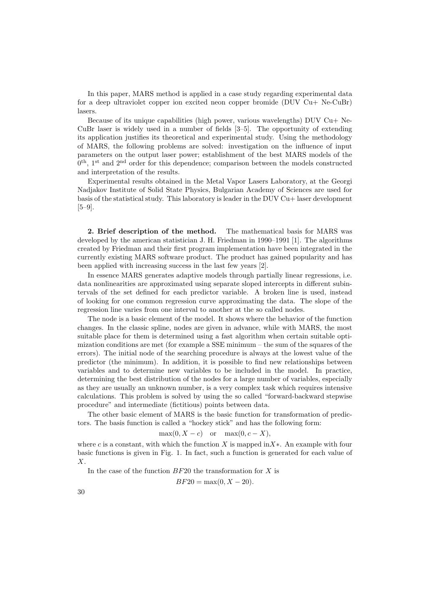In this paper, MARS method is applied in a case study regarding experimental data for a deep ultraviolet copper ion excited neon copper bromide (DUV Cu+ Ne-CuBr) lasers.

Because of its unique capabilities (high power, various wavelengths) DUV  $Cu+$  Ne-CuBr laser is widely used in a number of fields [3–5]. The opportunity of extending its application justifies its theoretical and experimental study. Using the methodology of MARS, the following problems are solved: investigation on the influence of input parameters on the output laser power; establishment of the best MARS models of the 0<sup>th</sup>, 1<sup>st</sup> and 2<sup>nd</sup> order for this dependence; comparison between the models constructed and interpretation of the results.

Experimental results obtained in the Metal Vapor Lasers Laboratory, at the Georgi Nadjakov Institute of Solid State Physics, Bulgarian Academy of Sciences are used for basis of the statistical study. This laboratory is leader in the DUV Cu+ laser development [5–9].

2. Brief description of the method. The mathematical basis for MARS was developed by the american statistician J. H. Friedman in 1990–1991 [1]. The algorithms created by Friedman and their first program implementation have been integrated in the currently existing MARS software product. The product has gained popularity and has been applied with increasing success in the last few years [2].

In essence MARS generates adaptive models through partially linear regressions, i.e. data nonlinearities are approximated using separate sloped intercepts in different subintervals of the set defined for each predictor variable. A broken line is used, instead of looking for one common regression curve approximating the data. The slope of the regression line varies from one interval to another at the so called nodes.

The node is a basic element of the model. It shows where the behavior of the function changes. In the classic spline, nodes are given in advance, while with MARS, the most suitable place for them is determined using a fast algorithm when certain suitable optimization conditions are met (for example a SSE minimum – the sum of the squares of the errors). The initial node of the searching procedure is always at the lowest value of the predictor (the minimum). In addition, it is possible to find new relationships between variables and to determine new variables to be included in the model. In practice, determining the best distribution of the nodes for a large number of variables, especially as they are usually an unknown number, is a very complex task which requires intensive calculations. This problem is solved by using the so called "forward-backward stepwise procedure" and intermediate (fictitious) points between data.

The other basic element of MARS is the basic function for transformation of predictors. The basis function is called a "hockey stick" and has the following form:

$$
\max(0, X - c) \quad \text{or} \quad \max(0, c - X),
$$

where c is a constant, with which the function X is mapped in X<sup>\*</sup>. An example with four basic functions is given in Fig. 1. In fact, such a function is generated for each value of X.

In the case of the function  $BF20$  the transformation for X is

$$
BF20 = \max(0, X - 20).
$$

30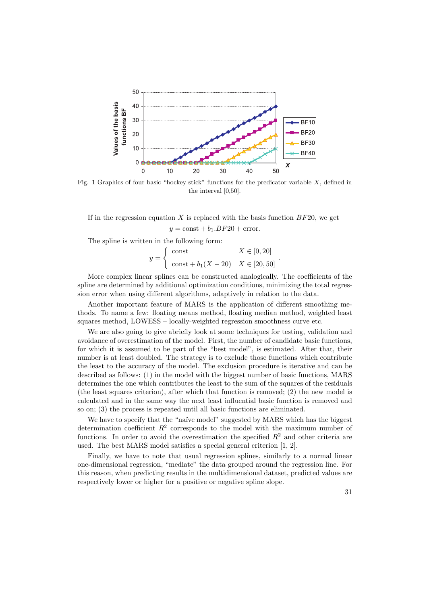

Fig. 1 Graphics of four basic "hockey stick" functions for the predicator variable  $X$ , defined in the interval [0,50].

If in the regression equation X is replaced with the basis function  $BF20$ , we get  $y = \text{const} + b_1.BF20 + \text{error}.$ 

The spline is written in the following form:

$$
y = \begin{cases} \text{const} & X \in [0, 20] \\ \text{const} + b_1(X - 20) & X \in [20, 50] \end{cases}
$$

.

More complex linear splines can be constructed analogically. The coefficients of the spline are determined by additional optimization conditions, minimizing the total regression error when using different algorithms, adaptively in relation to the data.

Another important feature of MARS is the application of different smoothing methods. To name a few: floating means method, floating median method, weighted least squares method, LOWESS – locally-weighted regression smoothness curve etc.

We are also going to give abriefly look at some techniques for testing, validation and avoidance of overestimation of the model. First, the number of candidate basic functions, for which it is assumed to be part of the "best model", is estimated. After that, their number is at least doubled. The strategy is to exclude those functions which contribute the least to the accuracy of the model. The exclusion procedure is iterative and can be described as follows: (1) in the model with the biggest number of basic functions, MARS determines the one which contributes the least to the sum of the squares of the residuals (the least squares criterion), after which that function is removed; (2) the new model is calculated and in the same way the next least influential basic function is removed and so on; (3) the process is repeated until all basic functions are eliminated.

We have to specify that the "naïve model" suggested by MARS which has the biggest determination coefficient  $R^2$  corresponds to the model with the maximum number of functions. In order to avoid the overestimation the specified  $R<sup>2</sup>$  and other criteria are used. The best MARS model satisfies a special general criterion [1, 2].

Finally, we have to note that usual regression splines, similarly to a normal linear one-dimensional regression, "mediate" the data grouped around the regression line. For this reason, when predicting results in the multidimensional dataset, predicted values are respectively lower or higher for a positive or negative spline slope.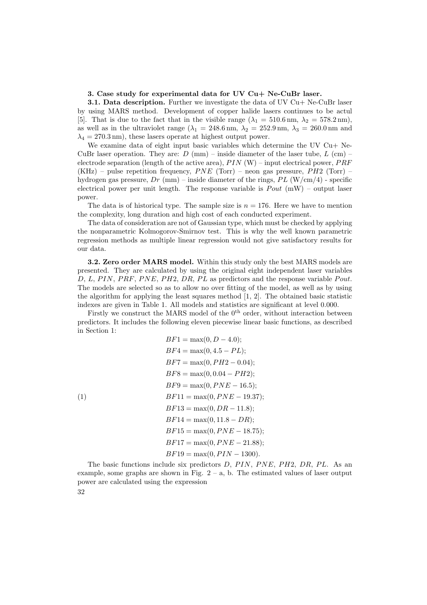### 3. Case study for experimental data for UV Cu+ Ne-CuBr laser.

**3.1. Data description.** Further we investigate the data of UV Cu+ Ne-CuBr laser by using MARS method. Development of copper halide lasers continues to be actul [5]. That is due to the fact that in the visible range  $(\lambda_1 = 510.6 \text{ nm}, \lambda_2 = 578.2 \text{ nm})$ , as well as in the ultraviolet range ( $\lambda_1 = 248.6$  nm,  $\lambda_2 = 252.9$  nm,  $\lambda_3 = 260.0$  nm and  $\lambda_4 = 270.3$  nm), these lasers operate at highest output power.

We examine data of eight input basic variables which determine the UV  $Cu+$  Ne-CuBr laser operation. They are:  $D \text{ (mm)}$  – inside diameter of the laser tube,  $L \text{ (cm)}$  – electrode separation (length of the active area),  $PIN (W)$  – input electrical power,  $PRF$ (KHz) – pulse repetition frequency,  $PNE$  (Torr) – neon gas pressure,  $PH2$  (Torr) – hydrogen gas pressure,  $Dr$  (mm) – inside diameter of the rings,  $PL$  (W/cm/4) - specific electrical power per unit length. The response variable is  $Pout$  (mW) – output laser power.

The data is of historical type. The sample size is  $n = 176$ . Here we have to mention the complexity, long duration and high cost of each conducted experiment.

The data of consideration are not of Gaussian type, which must be checked by applying the nonparametric Kolmogorov-Smirnov test. This is why the well known parametric regression methods as multiple linear regression would not give satisfactory results for our data.

3.2. Zero order MARS model. Within this study only the best MARS models are presented. They are calculated by using the original eight independent laser variables  $D, L, PIN, PRF, PNE, PH2, DR, PL$  as predictors and the response variable  $Pout.$ The models are selected so as to allow no over fitting of the model, as well as by using the algorithm for applying the least squares method [1, 2]. The obtained basic statistic indexes are given in Table 1. All models and statistics are significant at level 0.000.

Firstly we construct the MARS model of the 0<sup>th</sup> order, without interaction between predictors. It includes the following eleven piecewise linear basic functions, as described in Section 1:

$$
BF1 = \max(0, D - 4.0);
$$
  
\n
$$
BF4 = \max(0, 4.5 - PL);
$$
  
\n
$$
BF7 = \max(0, PH2 - 0.04);
$$
  
\n
$$
BF8 = \max(0, 0.04 - PH2);
$$
  
\n
$$
BF9 = \max(0, PNE - 16.5);
$$
  
\n
$$
BF11 = \max(0, PNE - 19.37);
$$
  
\n
$$
BF13 = \max(0, DR - 11.8);
$$
  
\n
$$
BF14 = \max(0, 11.8 - DR);
$$
  
\n
$$
BF15 = \max(0, PNE - 18.75);
$$
  
\n
$$
BF17 = \max(0, PNE - 21.88);
$$
  
\n
$$
BF19 = \max(0, PIN - 1300).
$$

The basic functions include six predictors  $D$ ,  $PIN$ ,  $PNE$ ,  $PH2$ ,  $DR$ ,  $PL$ . As an example, some graphs are shown in Fig.  $2 - a$ , b. The estimated values of laser output power are calculated using the expression 32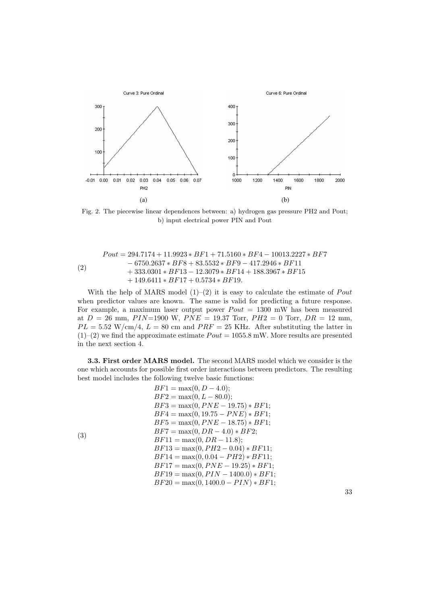

Fig. 2. The piecewise linear dependences between: a) hydrogen gas pressure PH2 and Pout; b) input electrical power PIN and Pout

$$
Pout = 294.7174 + 11.9923 * BF1 + 71.5160 * BF4 - 10013.2227 * BF7- 6750.2637 * BF8 + 83.5532 * BF9 - 417.2946 * BF11+ 333.0301 * BF13 - 12.3079 * BF14 + 188.3967 * BF15+ 149.6411 * BF17 + 0.5734 * BF19.
$$

With the help of MARS model  $(1)-(2)$  it is easy to calculate the estimate of *Pout* when predictor values are known. The same is valid for predicting a future response. For example, a maximum laser output power  $P_{out} = 1300$  mW has been measured at  $D = 26$  mm,  $PIN=1900$  W,  $PNE = 19.37$  Torr,  $PH2 = 0$  Torr,  $DR = 12$  mm,  $PL = 5.52$  W/cm/4,  $L = 80$  cm and  $PRF = 25$  KHz. After substituting the latter in  $(1)$ – $(2)$  we find the approximate estimate  $Pout = 1055.8$  mW. More results are presented in the next section 4.

3.3. First order MARS model. The second MARS model which we consider is the one which accounts for possible first order interactions between predictors. The resulting best model includes the following twelve basic functions:

$$
BF1 = \max(0, D - 4.0);
$$
  
\n
$$
BF2 = \max(0, L - 80.0);
$$
  
\n
$$
BF3 = \max(0, PNE - 19.75) * BF1;
$$
  
\n
$$
BF4 = \max(0, 19.75 - PNE) * BF1;
$$
  
\n
$$
BF5 = \max(0, PNE - 18.75) * BF1;
$$
  
\n
$$
BF7 = \max(0, DR - 4.0) * BF2;
$$
  
\n
$$
BF11 = \max(0, DR - 11.8);
$$
  
\n
$$
BF13 = \max(0, PH2 - 0.04) * BF11;
$$
  
\n
$$
BF14 = \max(0, 0.04 - PH2) * BF11;
$$
  
\n
$$
BF17 = \max(0, PNE - 19.25) * BF1;
$$
  
\n
$$
BF19 = \max(0, PIN - 1400.0) * BF1;
$$
  
\n
$$
BF20 = \max(0, 1400.0 - PIN) * BF1;
$$

33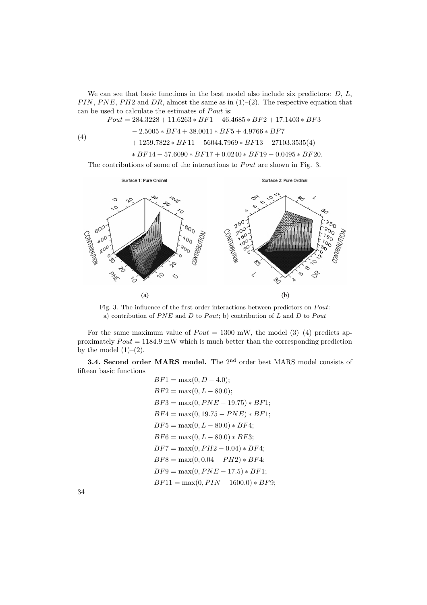We can see that basic functions in the best model also include six predictors:  $D, L$ , PIN, PNE, PH2 and DR, almost the same as in  $(1)-(2)$ . The respective equation that can be used to calculate the estimates of Pout is:

 $Pout = 284.3228 + 11.6263 * BF1 - 46.4685 * BF2 + 17.1403 * BF3$ 

$$
\phantom{\# A_0^5} -2.5005 * BF4 + 38.0011 * BF5 + 4.9766 * BF7
$$

$$
(4) \t\t\t+ 1259.7822 * BF11 - 56044.7969 * BF13 - 27103.3535(4)
$$

$$
\ast\,BF14-57.6090\ast BF17+0.0240\ast BF19-0.0495\ast BF20.
$$

The contributions of some of the interactions to  $Pout$  are shown in Fig. 3.



Fig. 3. The influence of the first order interactions between predictors on  $\emph{Pout:}$ a) contribution of  $PNE$  and D to Pout; b) contribution of L and D to Pout

For the same maximum value of  $Pout = 1300$  mW, the model (3)–(4) predicts approximately  $P_{out} = 1184.9 \text{ mW}$  which is much better than the corresponding prediction by the model  $(1)-(2)$ .

3.4. Second order MARS model. The 2<sup>nd</sup> order best MARS model consists of fifteen basic functions

$$
BF1 = \max(0, D - 4.0);
$$
  
\n
$$
BF2 = \max(0, L - 80.0);
$$
  
\n
$$
BF3 = \max(0, PNE - 19.75) * BF1;
$$
  
\n
$$
BF4 = \max(0, 19.75 - PNE) * BF1;
$$
  
\n
$$
BF5 = \max(0, L - 80.0) * BF4;
$$
  
\n
$$
BF6 = \max(0, L - 80.0) * BF3;
$$
  
\n
$$
BF7 = \max(0, PH2 - 0.04) * BF4;
$$
  
\n
$$
BF8 = \max(0, 0.04 - PH2) * BF4;
$$
  
\n
$$
BF9 = \max(0, PNE - 17.5) * BF1;
$$
  
\n
$$
BF11 = \max(0, PIN - 1600.0) * BF9;
$$

34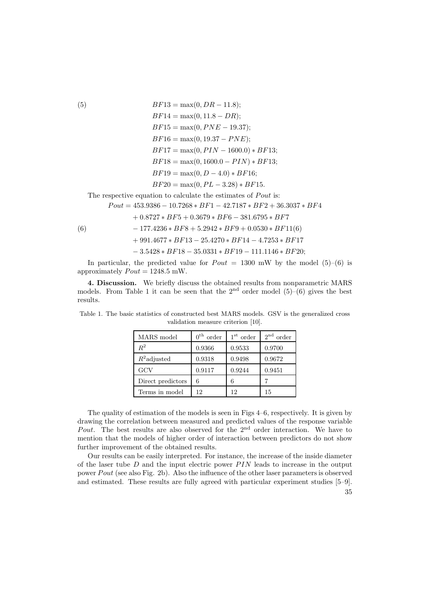(5)  
\n
$$
BF13 = \max(0, DR - 11.8);
$$
\n
$$
BF14 = \max(0, 11.8 - DR);
$$
\n
$$
BF15 = \max(0, PNE - 19.37);
$$
\n
$$
BF16 = \max(0, 19.37 - PNE);
$$
\n
$$
BF17 = \max(0, PIN - 1600.0) * BF13;
$$
\n
$$
BF18 = \max(0, 1600.0 - PIN) * BF13;
$$
\n
$$
BF19 = \max(0, D - 4.0) * BF16;
$$
\n
$$
BF20 = \max(0, PL - 3.28) * BF15.
$$

The respective equation to calculate the estimates of  $Pout$  is:

 $Pout = 453.9386 - 10.7268 * BF1 - 42.7187 * BF2 + 36.3037 * BF4$ 

$$
+\, 0.8727 * BF5 + 0.3679 * BF6 - 381.6795 * BF7
$$

(6) 
$$
-177.4236 * BFS + 5.2942 * BFS + 0.0530 * BF11(6)
$$

$$
+\ 991.4677 * BF13 - 25.4270 * BF14 - 4.7253 * BF17
$$

$$
-3.5428 * BF18 - 35.0331 * BF19 - 111.1146 * BF20;
$$

In particular, the predicted value for  $P_{out} = 1300$  mW by the model (5)–(6) is approximately  $Pout = 1248.5$  mW.

4. Discussion. We briefly discuss the obtained results from nonparametric MARS models. From Table 1 it can be seen that the  $2<sup>nd</sup>$  order model  $(5)–(6)$  gives the best results.

| MARS model        | $0^{\text{th}}$<br>order | $1st$ order | $2nd$ order |
|-------------------|--------------------------|-------------|-------------|
| $R^2$             | 0.9366                   | 0.9533      | 0.9700      |
| $R^2$ adjusted    | 0.9318                   | 0.9498      | 0.9672      |
| GCV               | 0.9117                   | 0.9244      | 0.9451      |
| Direct predictors | 6                        | 6           |             |
| Terms in model    | 12                       | 12          | 15          |

Table 1. The basic statistics of constructed best MARS models. GSV is the generalized cross validation measure criterion [10].

The quality of estimation of the models is seen in Figs 4–6, respectively. It is given by drawing the correlation between measured and predicted values of the response variable Pout. The best results are also observed for the  $2<sup>nd</sup>$  order interaction. We have to mention that the models of higher order of interaction between predictors do not show further improvement of the obtained results.

Our results can be easily interpreted. For instance, the increase of the inside diameter of the laser tube  $D$  and the input electric power  $PIN$  leads to increase in the output power Pout (see also Fig. 2b). Also the influence of the other laser parameters is observed and estimated. These results are fully agreed with particular experiment studies [5–9].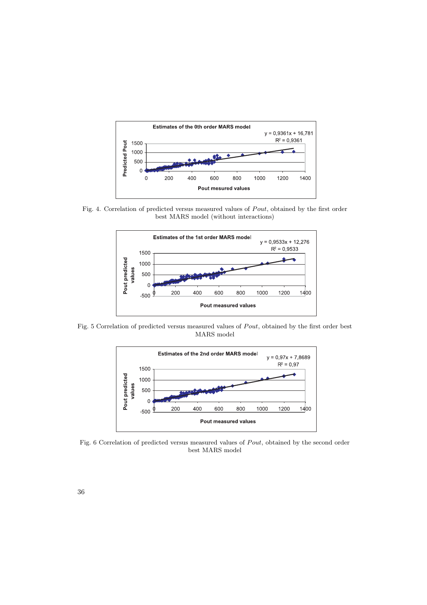

Fig. 4. Correlation of predicted versus measured values of Pout, obtained by the first order best MARS model (without interactions)



Fig. 5 Correlation of predicted versus measured values of Pout, obtained by the first order best MARS model



Fig. 6 Correlation of predicted versus measured values of  $Pout$ , obtained by the second order best MARS model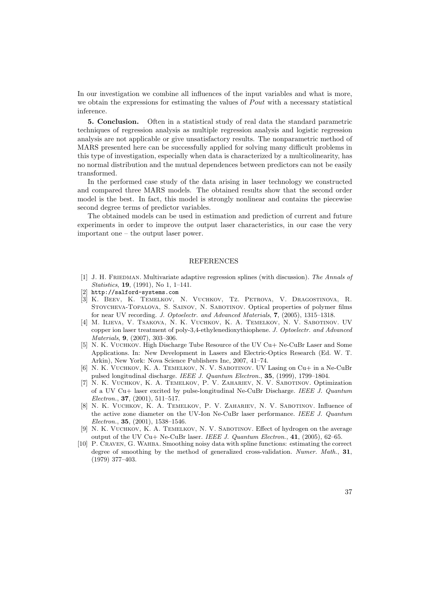In our investigation we combine all influences of the input variables and what is more, we obtain the expressions for estimating the values of  $Pout$  with a necessary statistical inference.

5. Conclusion. Often in a statistical study of real data the standard parametric techniques of regression analysis as multiple regression analysis and logistic regression analysis are not applicable or give unsatisfactory results. The nonparametric method of MARS presented here can be successfully applied for solving many difficult problems in this type of investigation, especially when data is characterized by a multicolinearity, has no normal distribution and the mutual dependences between predictors can not be easily transformed.

In the performed case study of the data arising in laser technology we constructed and compared three MARS models. The obtained results show that the second order model is the best. In fact, this model is strongly nonlinear and contains the piecewise second degree terms of predictor variables.

The obtained models can be used in estimation and prediction of current and future experiments in order to improve the output laser characteristics, in our case the very important one – the output laser power.

#### REFERENCES

- [1] J. H. FRIEDMAN. Multivariate adaptive regression splines (with discussion). The Annals of Statistics, 19, (1991), No 1, 1–141.
- [2] http://salford-systems.com
- [3] K. Beev, K. Temelkov, N. Vuchkov, Tz. Petrova, V. Dragostinova, R. Stoycheva-Topalova, S. Sainov, N. Sabotinov. Optical properties of polymer films for near UV recording. J. Optoelectr. and Advanced Materials, 7, (2005), 1315–1318.
- [4] M. Ilieva, V. Tsakova, N. K. Vuchkov, K. A. Temelkov, N. V. Sabotinov. UV copper ion laser treatment of poly-3,4-ethylenedioxythiophene. J. Optoelectr. and Advanced Materials, 9, (2007), 303–306.
- [5] N. K. Vuchkov. High Discharge Tube Resource of the UV Cu+ Ne-CuBr Laser and Some Applications. In: New Development in Lasers and Electric-Optics Research (Ed. W. T. Arkin), New York: Nova Science Publishers Inc, 2007, 41–74.
- [6] N. K. Vuchkov, K. A. Temelkov, N. V. Sabotinov. UV Lasing on Cu+ in a Ne-CuBr pulsed longitudinal discharge. IEEE J. Quantum Electron., 35, (1999), 1799–1804.
- [7] N. K. Vuchkov, K. A. Temelkov, P. V. Zahariev, N. V. Sabotinov. Optimization of a UV Cu+ laser excited by pulse-longitudinal Ne-CuBr Discharge. IEEE J. Quantum Electron., 37, (2001), 511–517.
- [8] N. K. Vuchkov, K. A. Temelkov, P. V. Zahariev, N. V. Sabotinov. Influence of the active zone diameter on the UV-Ion Ne-CuBr laser performance. IEEE J. Quantum Electron., 35, (2001), 1538–1546.
- [9] N. K. VUCHKOV, K. A. TEMELKOV, N. V. SABOTINOV. Effect of hydrogen on the average output of the UV Cu+ Ne-CuBr laser. IEEE J. Quantum Electron.,  $41$ , (2005), 62–65.
- [10] P. Craven, G. Wahba. Smoothing noisy data with spline functions: estimating the correct degree of smoothing by the method of generalized cross-validation. Numer. Math., 31, (1979) 377–403.